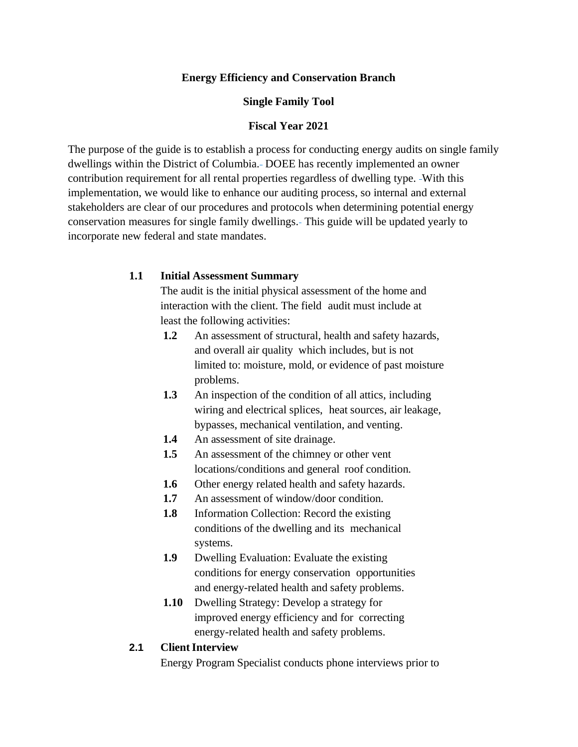### **Energy Efficiency and Conservation Branch**

#### **Single Family Tool**

#### **Fiscal Year 2021**

The purpose of the guide is to establish a process for conducting energy audits on single family dwellings within the District of Columbia. DOEE has recently implemented an owner contribution requirement for all rental properties regardless of dwelling type. With this implementation, we would like to enhance our auditing process, so internal and external stakeholders are clear of our procedures and protocols when determining potential energy conservation measures for single family dwellings. This guide will be updated yearly to incorporate new federal and state mandates.

#### **1.1 Initial Assessment Summary**

The audit is the initial physical assessment of the home and interaction with the client. The field audit must include at least the following activities:

- **1.2** An assessment of structural, health and safety hazards, and overall air quality which includes, but is not limited to: moisture, mold, or evidence of past moisture problems.
- **1.3** An inspection of the condition of all attics, including wiring and electrical splices, heat sources, air leakage, bypasses, mechanical ventilation, and venting.
- **1.4** An assessment of site drainage.
- **1.5** An assessment of the chimney or other vent locations/conditions and general roof condition.
- **1.6** Other energy related health and safety hazards.
- **1.7** An assessment of window/door condition.
- **1.8** Information Collection: Record the existing conditions of the dwelling and its mechanical systems.
- **1.9** Dwelling Evaluation: Evaluate the existing conditions for energy conservation opportunities and energy-related health and safety problems.
- **1.10** Dwelling Strategy: Develop a strategy for improved energy efficiency and for correcting energy-related health and safety problems.

### **2.1 ClientInterview**

Energy Program Specialist conducts phone interviews prior to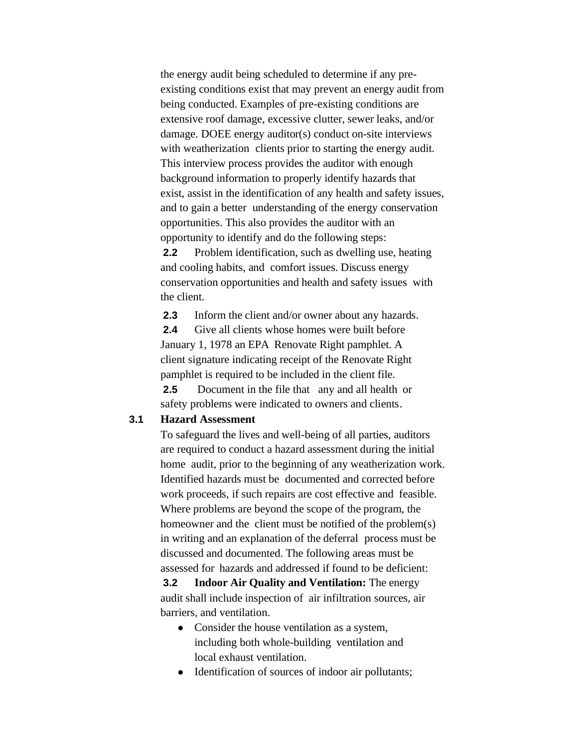the energy audit being scheduled to determine if any preexisting conditions exist that may prevent an energy audit from being conducted. Examples of pre-existing conditions are extensive roof damage, excessive clutter, sewer leaks, and/or damage. DOEE energy auditor(s) conduct on-site interviews with weatherization clients prior to starting the energy audit. This interview process provides the auditor with enough background information to properly identify hazards that exist, assist in the identification of any health and safety issues, and to gain a better understanding of the energy conservation opportunities. This also provides the auditor with an opportunity to identify and do the following steps:

**2.2** Problem identification, such as dwelling use, heating and cooling habits, and comfort issues. Discuss energy conservation opportunities and health and safety issues with the client.

**2.3** Inform the client and/or owner about any hazards.

**2.4** Give all clients whose homes were built before January 1, 1978 an EPA Renovate Right pamphlet. A client signature indicating receipt of the Renovate Right pamphlet is required to be included in the client file.

**2.5** Document in the file that any and all health or safety problems were indicated to owners and clients.

#### **3.1 Hazard Assessment**

To safeguard the lives and well-being of all parties, auditors are required to conduct a hazard assessment during the initial home audit, prior to the beginning of any weatherization work. Identified hazards must be documented and corrected before work proceeds, if such repairs are cost effective and feasible. Where problems are beyond the scope of the program, the homeowner and the client must be notified of the problem(s) in writing and an explanation of the deferral process must be discussed and documented. The following areas must be assessed for hazards and addressed if found to be deficient:

**3.2 Indoor Air Quality and Ventilation:** The energy audit shall include inspection of air infiltration sources, air barriers, and ventilation.

- **●** Consider the house ventilation as a system, including both whole-building ventilation and local exhaust ventilation.
- **●** Identification of sources of indoor air pollutants;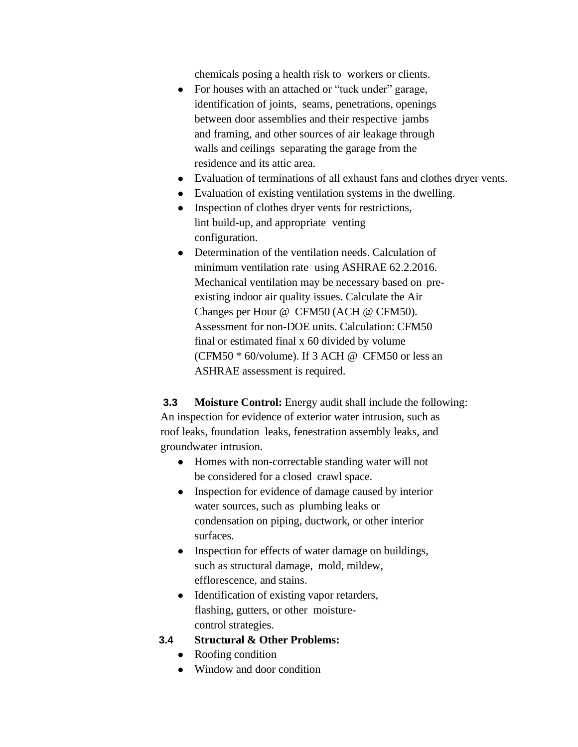chemicals posing a health risk to workers or clients.

- **●** For houses with an attached or "tuck under" garage, identification of joints, seams, penetrations, openings between door assemblies and their respective jambs and framing, and other sources of air leakage through walls and ceilings separating the garage from the residence and its attic area.
- **●** Evaluation of terminations of all exhaust fans and clothes dryer vents.
- **●** Evaluation of existing ventilation systems in the dwelling.
- **●** Inspection of clothes dryer vents for restrictions, lint build-up, and appropriate venting configuration.
- **●** Determination of the ventilation needs. Calculation of minimum ventilation rate using ASHRAE 62.2.2016. Mechanical ventilation may be necessary based on preexisting indoor air quality issues. Calculate the Air Changes per Hour @ CFM50 (ACH @ CFM50). Assessment for non-DOE units. Calculation: CFM50 final or estimated final x 60 divided by volume (CFM50  $*$  60/volume). If 3 ACH @ CFM50 or less an ASHRAE assessment is required.

**3.3 Moisture Control:** Energy audit shall include the following: An inspection for evidence of exterior water intrusion, such as roof leaks, foundation leaks, fenestration assembly leaks, and groundwater intrusion.

- **●** Homes with non-correctable standing water will not be considered for a closed crawl space.
- *●* Inspection for evidence of damage caused by interior water sources, such as plumbing leaks or condensation on piping, ductwork, or other interior surfaces.
- *●* Inspection for effects of water damage on buildings, such as structural damage, mold, mildew, efflorescence, and stains.
- *●* Identification of existing vapor retarders, flashing, gutters, or other moisturecontrol strategies.
- **3.4 Structural & Other Problems:**
	- **●** Roofing condition
	- **●** Window and door condition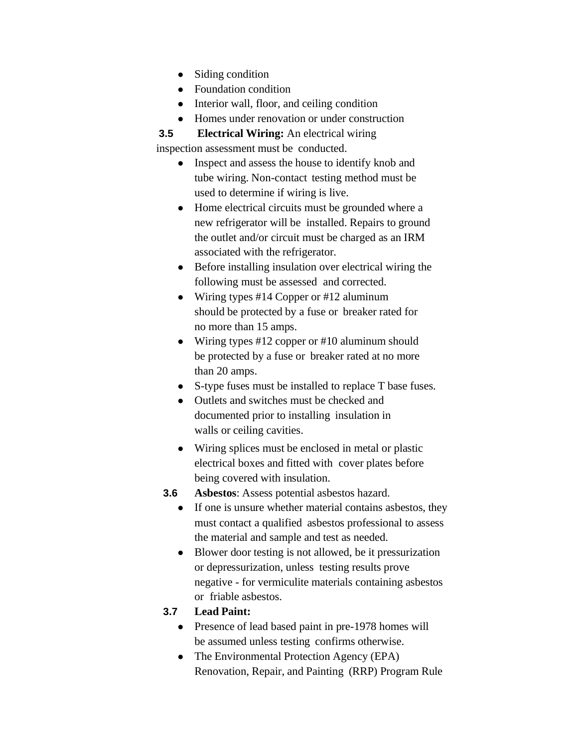- **●** Siding condition
- **●** Foundation condition
- **●** Interior wall, floor, and ceiling condition
- **●** Homes under renovation or under construction

**3.5 Electrical Wiring:** An electrical wiring

inspection assessment must be conducted.

- **●** Inspect and assess the house to identify knob and tube wiring. Non-contact testing method must be used to determine if wiring is live.
- **●** Home electrical circuits must be grounded where a new refrigerator will be installed. Repairs to ground the outlet and/or circuit must be charged as an IRM associated with the refrigerator.
- **●** Before installing insulation over electrical wiring the following must be assessed and corrected.
- **●** Wiring types #14 Copper or #12 aluminum should be protected by a fuse or breaker rated for no more than 15 amps.
- **●** Wiring types #12 copper or #10 aluminum should be protected by a fuse or breaker rated at no more than 20 amps.
- **●** S-type fuses must be installed to replace T base fuses.
- **●** Outlets and switches must be checked and documented prior to installing insulation in
	- walls or ceiling cavities.
- **●** Wiring splices must be enclosed in metal or plastic electrical boxes and fitted with cover plates before being covered with insulation.
- **3.6 Asbestos**: Assess potential asbestos hazard.
	- **●** If one is unsure whether material contains asbestos, they must contact a qualified asbestos professional to assess the material and sample and test as needed.
	- **●** Blower door testing is not allowed, be it pressurization or depressurization, unless testing results prove negative - for vermiculite materials containing asbestos or friable asbestos.

# **3.7 Lead Paint:**

- **●** Presence of lead based paint in pre-1978 homes will be assumed unless testing confirms otherwise.
- **●** The Environmental Protection Agency (EPA) Renovation, Repair, and Painting (RRP) Program Rule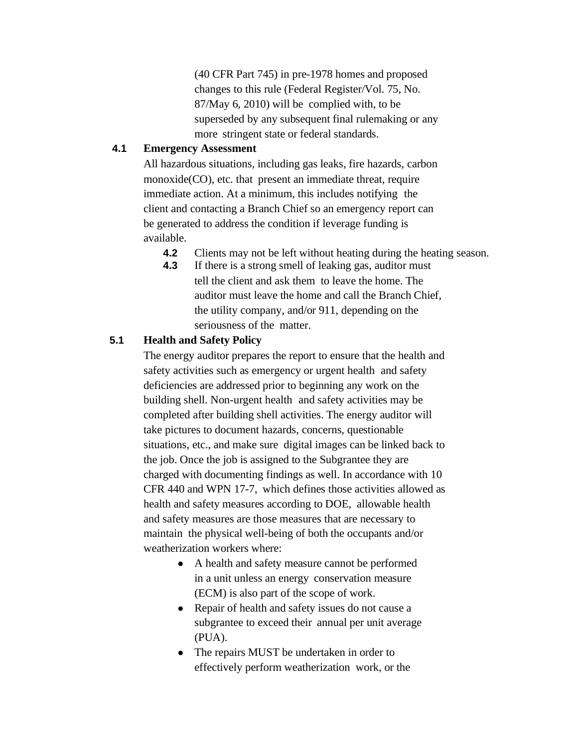(40 CFR Part 745) in pre-1978 homes and proposed changes to this rule (Federal Register/Vol. 75, No. 87/May 6, 2010) will be complied with, to be superseded by any subsequent final rulemaking or any more stringent state or federal standards.

### **4.1 Emergency Assessment**

All hazardous situations, including gas leaks, fire hazards, carbon monoxide(CO), etc. that present an immediate threat, require immediate action. At a minimum, this includes notifying the client and contacting a Branch Chief so an emergency report can be generated to address the condition if leverage funding is available.

- **4.2** Clients may not be left without heating during the heating season.
- **4.3** If there is a strong smell of leaking gas, auditor must tell the client and ask them to leave the home. The auditor must leave the home and call the Branch Chief, the utility company, and/or 911, depending on the seriousness of the matter.

# **5.1 Health and Safety Policy**

The energy auditor prepares the report to ensure that the health and safety activities such as emergency or urgent health and safety deficiencies are addressed prior to beginning any work on the building shell. Non-urgent health and safety activities may be completed after building shell activities. The energy auditor will take pictures to document hazards, concerns, questionable situations, etc., and make sure digital images can be linked back to the job. Once the job is assigned to the Subgrantee they are charged with documenting findings as well. In accordance with 10 CFR 440 and WPN 17-7, which defines those activities allowed as health and safety measures according to DOE, allowable health and safety measures are those measures that are necessary to maintain the physical well-being of both the occupants and/or weatherization workers where:

- A health and safety measure cannot be performed in a unit unless an energy conservation measure (ECM) is also part of the scope of work.
- Repair of health and safety issues do not cause a subgrantee to exceed their annual per unit average (PUA).
- The repairs MUST be undertaken in order to effectively perform weatherization work, or the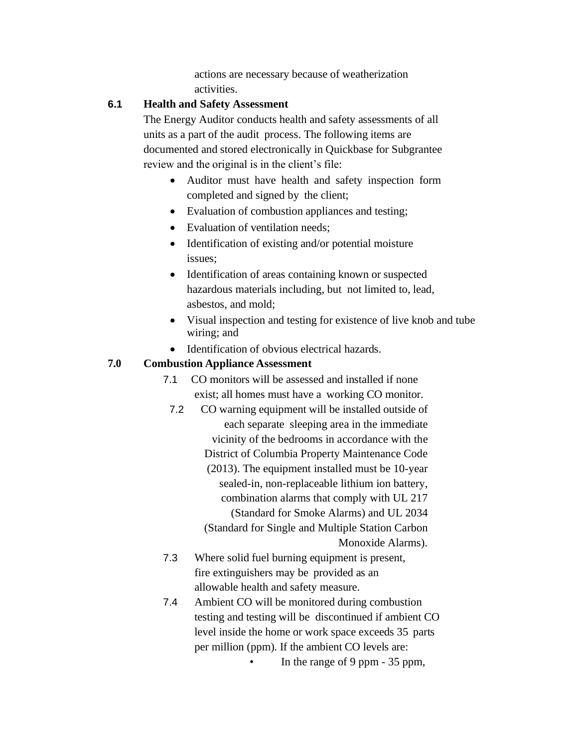actions are necessary because of weatherization activities.

## **6.1 Health and Safety Assessment**

The Energy Auditor conducts health and safety assessments of all units as a part of the audit process. The following items are documented and stored electronically in Quickbase for Subgrantee review and the original is in the client's file:

- Auditor must have health and safety inspection form completed and signed by the client;
- Evaluation of combustion appliances and testing;
- Evaluation of ventilation needs;
- Identification of existing and/or potential moisture issues;
- Identification of areas containing known or suspected hazardous materials including, but not limited to, lead, asbestos, and mold;
- Visual inspection and testing for existence of live knob and tube wiring; and
- Identification of obvious electrical hazards.

# **7.0 Combustion Appliance Assessment**

- 7.1 CO monitors will be assessed and installed if none exist; all homes must have a working CO monitor.
	- 7.2 CO warning equipment will be installed outside of each separate sleeping area in the immediate vicinity of the bedrooms in accordance with the District of Columbia Property Maintenance Code (2013). The equipment installed must be 10-year sealed-in, non-replaceable lithium ion battery, combination alarms that comply with UL 217 (Standard for Smoke Alarms) and UL 2034 (Standard for Single and Multiple Station Carbon Monoxide Alarms).
- 7.3 Where solid fuel burning equipment is present, fire extinguishers may be provided as an allowable health and safety measure.
- 7.4 Ambient CO will be monitored during combustion testing and testing will be discontinued if ambient CO level inside the home or work space exceeds 35 parts per million (ppm). If the ambient CO levels are:
	- In the range of 9 ppm 35 ppm,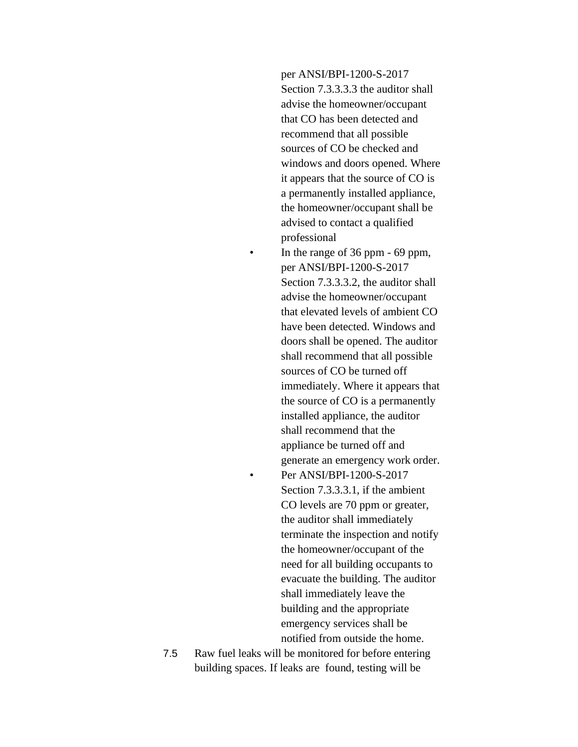per ANSI/BPI-1200-S-2017 Section 7.3.3.3.3 the auditor shall advise the homeowner/occupant that CO has been detected and recommend that all possible sources of CO be checked and windows and doors opened. Where it appears that the source of CO is a permanently installed appliance, the homeowner/occupant shall be advised to contact a qualified professional • In the range of 36 ppm - 69 ppm, per ANSI/BPI-1200-S-2017 Section 7.3.3.3.2, the auditor shall advise the homeowner/occupant that elevated levels of ambient CO have been detected. Windows and doors shall be opened. The auditor shall recommend that all possible sources of CO be turned off immediately. Where it appears that the source of CO is a permanently installed appliance, the auditor shall recommend that the appliance be turned off and generate an emergency work order. • Per ANSI/BPI-1200-S-2017 Section 7.3.3.3.1, if the ambient CO levels are 70 ppm or greater, the auditor shall immediately terminate the inspection and notify the homeowner/occupant of the need for all building occupants to evacuate the building. The auditor shall immediately leave the building and the appropriate emergency services shall be notified from outside the home.

7.5 Raw fuel leaks will be monitored for before entering building spaces. If leaks are found, testing will be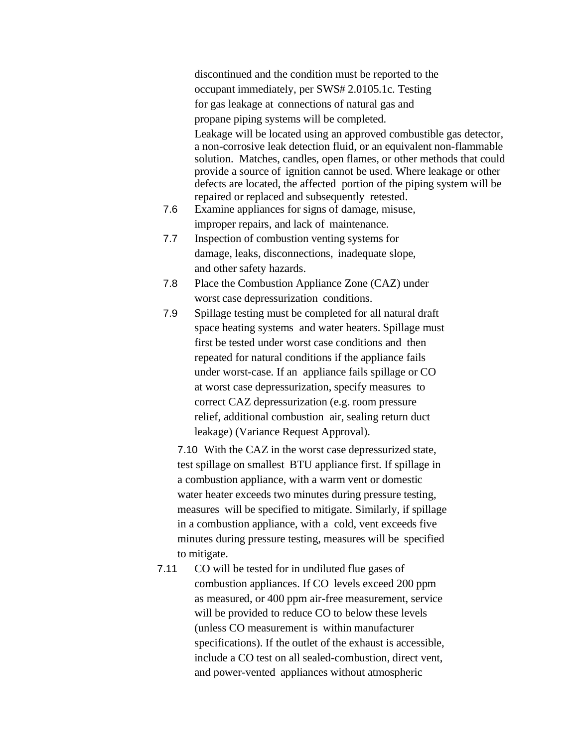discontinued and the condition must be reported to the occupant immediately, per SWS# 2.0105.1c. Testing for gas leakage at connections of natural gas and propane piping systems will be completed. Leakage will be located using an approved combustible gas detector, a non-corrosive leak detection fluid, or an equivalent non-flammable solution. Matches, candles, open flames, or other methods that could provide a source of ignition cannot be used. Where leakage or other defects are located, the affected portion of the piping system will be repaired or replaced and subsequently retested.

- 7.6 Examine appliances for signs of damage, misuse, improper repairs, and lack of maintenance.
- 7.7 Inspection of combustion venting systems for damage, leaks, disconnections, inadequate slope, and other safety hazards.
- 7.8 Place the Combustion Appliance Zone (CAZ) under worst case depressurization conditions.
- 7.9 Spillage testing must be completed for all natural draft space heating systems and water heaters. Spillage must first be tested under worst case conditions and then repeated for natural conditions if the appliance fails under worst-case. If an appliance fails spillage or CO at worst case depressurization, specify measures to correct CAZ depressurization (e.g. room pressure relief, additional combustion air, sealing return duct leakage) (Variance Request Approval).

7.10 With the CAZ in the worst case depressurized state, test spillage on smallest BTU appliance first. If spillage in a combustion appliance, with a warm vent or domestic water heater exceeds two minutes during pressure testing, measures will be specified to mitigate. Similarly, if spillage in a combustion appliance, with a cold, vent exceeds five minutes during pressure testing, measures will be specified to mitigate.

7.11 CO will be tested for in undiluted flue gases of combustion appliances. If CO levels exceed 200 ppm as measured, or 400 ppm air-free measurement, service will be provided to reduce CO to below these levels (unless CO measurement is within manufacturer specifications). If the outlet of the exhaust is accessible, include a CO test on all sealed-combustion, direct vent, and power-vented appliances without atmospheric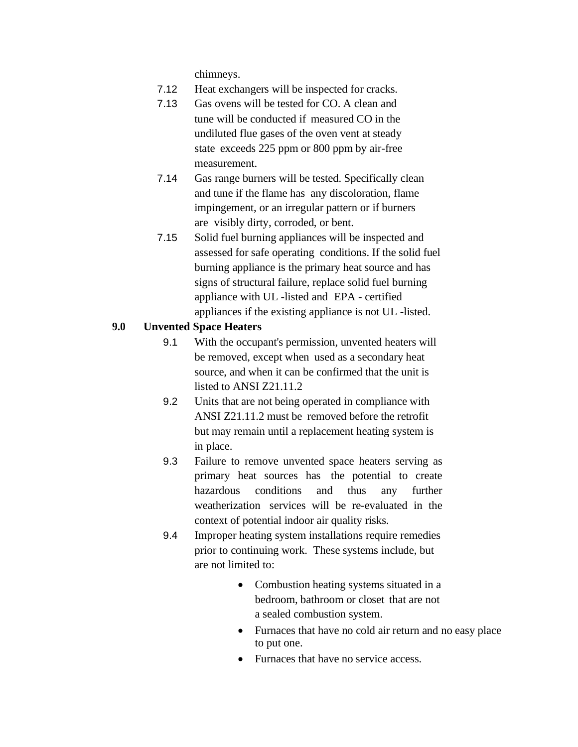chimneys.

- 7.12 Heat exchangers will be inspected for cracks.
- 7.13 Gas ovens will be tested for CO. A clean and tune will be conducted if measured CO in the undiluted flue gases of the oven vent at steady state exceeds 225 ppm or 800 ppm by air-free measurement.
- 7.14 Gas range burners will be tested. Specifically clean and tune if the flame has any discoloration, flame impingement, or an irregular pattern or if burners are visibly dirty, corroded, or bent.
- 7.15 Solid fuel burning appliances will be inspected and assessed for safe operating conditions. If the solid fuel burning appliance is the primary heat source and has signs of structural failure, replace solid fuel burning appliance with UL -listed and EPA - certified appliances if the existing appliance is not UL -listed.

### **9.0 Unvented Space Heaters**

- 9.1 With the occupant's permission, unvented heaters will be removed, except when used as a secondary heat source, and when it can be confirmed that the unit is listed to ANSI Z21.11.2
- 9.2 Units that are not being operated in compliance with ANSI Z21.11.2 must be removed before the retrofit but may remain until a replacement heating system is in place.
- 9.3 Failure to remove unvented space heaters serving as primary heat sources has the potential to create hazardous conditions and thus any further weatherization services will be re-evaluated in the context of potential indoor air quality risks.
- 9.4 Improper heating system installations require remedies prior to continuing work. These systems include, but are not limited to:
	- Combustion heating systems situated in a bedroom, bathroom or closet that are not a sealed combustion system.
	- Furnaces that have no cold air return and no easy place to put one.
	- Furnaces that have no service access.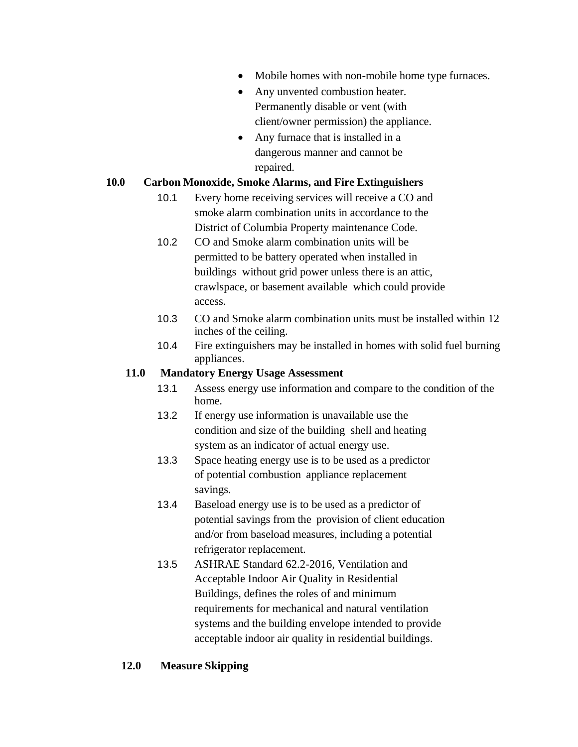- Mobile homes with non-mobile home type furnaces.
- Any unvented combustion heater. Permanently disable or vent (with client/owner permission) the appliance.
- Any furnace that is installed in a dangerous manner and cannot be repaired.

# **10.0 Carbon Monoxide, Smoke Alarms, and Fire Extinguishers**

- 10.1 Every home receiving services will receive a CO and smoke alarm combination units in accordance to the District of Columbia Property maintenance Code.
- 10.2 CO and Smoke alarm combination units will be permitted to be battery operated when installed in buildings without grid power unless there is an attic, crawlspace, or basement available which could provide access.
- 10.3 CO and Smoke alarm combination units must be installed within 12 inches of the ceiling.
- 10.4 Fire extinguishers may be installed in homes with solid fuel burning appliances.

## **11.0 Mandatory Energy Usage Assessment**

- 13.1 Assess energy use information and compare to the condition of the home.
- 13.2 If energy use information is unavailable use the condition and size of the building shell and heating system as an indicator of actual energy use.
- 13.3 Space heating energy use is to be used as a predictor of potential combustion appliance replacement savings.
- 13.4 Baseload energy use is to be used as a predictor of potential savings from the provision of client education and/or from baseload measures, including a potential refrigerator replacement.
- 13.5 ASHRAE Standard 62.2-2016, Ventilation and Acceptable Indoor Air Quality in Residential Buildings, defines the roles of and minimum requirements for mechanical and natural ventilation systems and the building envelope intended to provide acceptable indoor air quality in residential buildings.

## **12.0 Measure Skipping**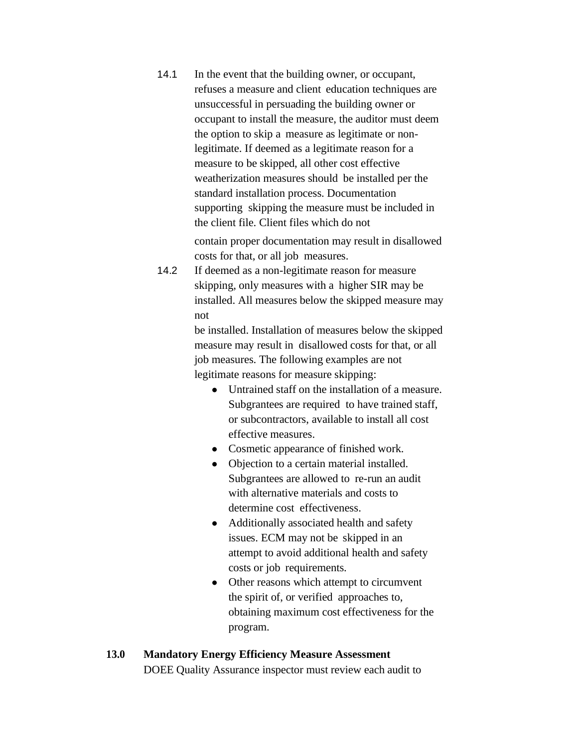14.1 In the event that the building owner, or occupant, refuses a measure and client education techniques are unsuccessful in persuading the building owner or occupant to install the measure, the auditor must deem the option to skip a measure as legitimate or nonlegitimate. If deemed as a legitimate reason for a measure to be skipped, all other cost effective weatherization measures should be installed per the standard installation process. Documentation supporting skipping the measure must be included in the client file. Client files which do not

contain proper documentation may result in disallowed costs for that, or all job measures.

14.2 If deemed as a non-legitimate reason for measure skipping, only measures with a higher SIR may be installed. All measures below the skipped measure may not

> be installed. Installation of measures below the skipped measure may result in disallowed costs for that, or all job measures. The following examples are not legitimate reasons for measure skipping:

- Untrained staff on the installation of a measure. Subgrantees are required to have trained staff, or subcontractors, available to install all cost effective measures.
- Cosmetic appearance of finished work.
- Objection to a certain material installed. Subgrantees are allowed to re-run an audit with alternative materials and costs to determine cost effectiveness.
- Additionally associated health and safety issues. ECM may not be skipped in an attempt to avoid additional health and safety costs or job requirements.
- Other reasons which attempt to circumvent the spirit of, or verified approaches to, obtaining maximum cost effectiveness for the program.

# **13.0 Mandatory Energy Efficiency Measure Assessment** DOEE Quality Assurance inspector must review each audit to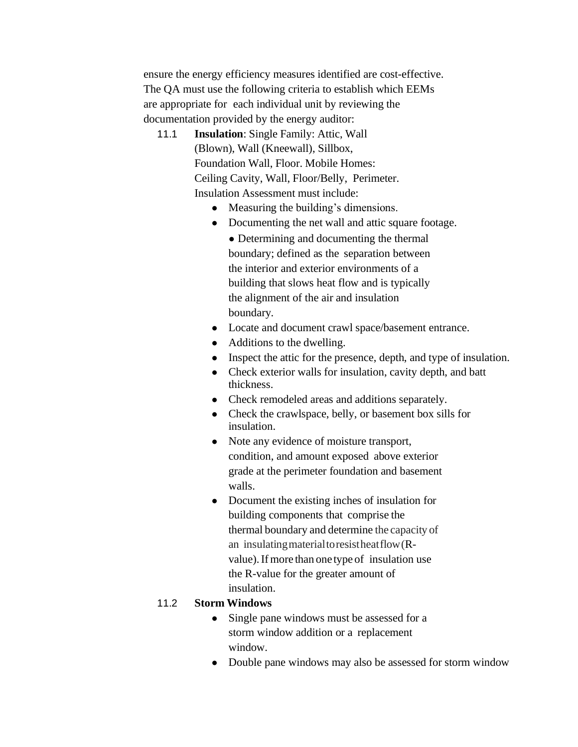ensure the energy efficiency measures identified are cost-effective. The QA must use the following criteria to establish which EEMs are appropriate for each individual unit by reviewing the documentation provided by the energy auditor:

- 11.1 **Insulation**: Single Family: Attic, Wall (Blown), Wall (Kneewall), Sillbox, Foundation Wall, Floor. Mobile Homes: Ceiling Cavity, Wall, Floor/Belly, Perimeter. Insulation Assessment must include:
	- *●* Measuring the building's dimensions.
	- *●* Documenting the net wall and attic square footage.
		- *●* Determining and documenting the thermal boundary; defined as the separation between the interior and exterior environments of a building that slows heat flow and is typically the alignment of the air and insulation boundary.
	- *●* Locate and document crawl space/basement entrance.
	- *●* Additions to the dwelling.
	- *●* Inspect the attic for the presence, depth, and type of insulation.
	- *●* Check exterior walls for insulation, cavity depth, and batt thickness.
	- *●* Check remodeled areas and additions separately.
	- *●* Check the crawlspace, belly, or basement box sills for insulation.
	- *●* Note any evidence of moisture transport, condition, and amount exposed above exterior grade at the perimeter foundation and basement walls.
	- *●* Document the existing inches of insulation for building components that comprise the thermal boundary and determine the capacity of an insulatingmaterialtoresistheatflow(Rvalue). If more than one type of insulation use the R-value for the greater amount of insulation.

# 11.2 **Storm Windows**

- *●* Single pane windows must be assessed for a storm window addition or a replacement window.
- *●* Double pane windows may also be assessed for storm window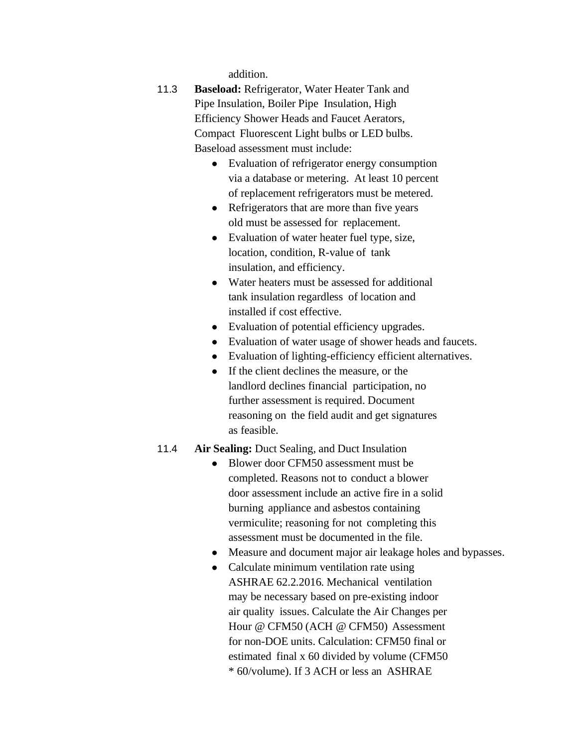addition.

- 11.3 **Baseload:** Refrigerator, Water Heater Tank and Pipe Insulation, Boiler Pipe Insulation, High Efficiency Shower Heads and Faucet Aerators, Compact Fluorescent Light bulbs or LED bulbs. Baseload assessment must include:
	- *●* Evaluation of refrigerator energy consumption via a database or metering. At least 10 percent of replacement refrigerators must be metered.
	- *●* Refrigerators that are more than five years old must be assessed for replacement.
	- *●* Evaluation of water heater fuel type, size, location, condition, R-value of tank insulation, and efficiency.
	- *●* Water heaters must be assessed for additional tank insulation regardless of location and installed if cost effective.
	- *●* Evaluation of potential efficiency upgrades.
	- *●* Evaluation of water usage of shower heads and faucets.
	- *●* Evaluation of lighting-efficiency efficient alternatives.
	- *●* If the client declines the measure, or the landlord declines financial participation, no further assessment is required. Document reasoning on the field audit and get signatures as feasible.

### 11.4 **Air Sealing:** Duct Sealing, and Duct Insulation

- *●* Blower door CFM50 assessment must be completed. Reasons not to conduct a blower door assessment include an active fire in a solid burning appliance and asbestos containing vermiculite; reasoning for not completing this assessment must be documented in the file.
- *●* Measure and document major air leakage holes and bypasses.
- *●* Calculate minimum ventilation rate using ASHRAE 62.2.2016. Mechanical ventilation may be necessary based on pre-existing indoor air quality issues. Calculate the Air Changes per Hour @ CFM50 (ACH @ CFM50) Assessment for non-DOE units. Calculation: CFM50 final or estimated final x 60 divided by volume (CFM50 \* 60/volume). If 3 ACH or less an ASHRAE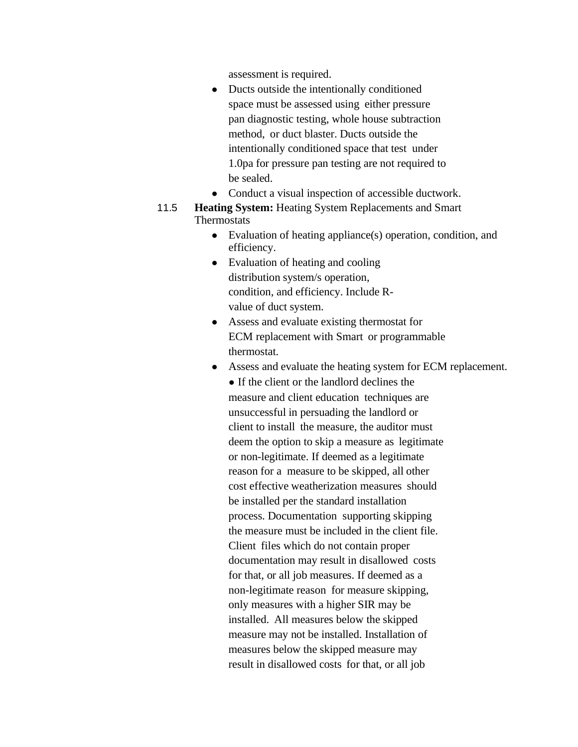assessment is required.

- *●* Ducts outside the intentionally conditioned space must be assessed using either pressure pan diagnostic testing, whole house subtraction method, or duct blaster. Ducts outside the intentionally conditioned space that test under 1.0pa for pressure pan testing are not required to be sealed.
- *●* Conduct a visual inspection of accessible ductwork.
- 11.5 **Heating System:** Heating System Replacements and Smart **Thermostats** 
	- *●* Evaluation of heating appliance(s) operation, condition, and efficiency.
	- *●* Evaluation of heating and cooling distribution system/s operation, condition, and efficiency. Include Rvalue of duct system.
	- *●* Assess and evaluate existing thermostat for ECM replacement with Smart or programmable thermostat.
	- *●* Assess and evaluate the heating system for ECM replacement.
		- *●* If the client or the landlord declines the measure and client education techniques are unsuccessful in persuading the landlord or client to install the measure, the auditor must deem the option to skip a measure as legitimate or non-legitimate. If deemed as a legitimate reason for a measure to be skipped, all other cost effective weatherization measures should be installed per the standard installation process. Documentation supporting skipping the measure must be included in the client file. Client files which do not contain proper documentation may result in disallowed costs for that, or all job measures. If deemed as a non-legitimate reason for measure skipping, only measures with a higher SIR may be installed. All measures below the skipped measure may not be installed. Installation of measures below the skipped measure may result in disallowed costs for that, or all job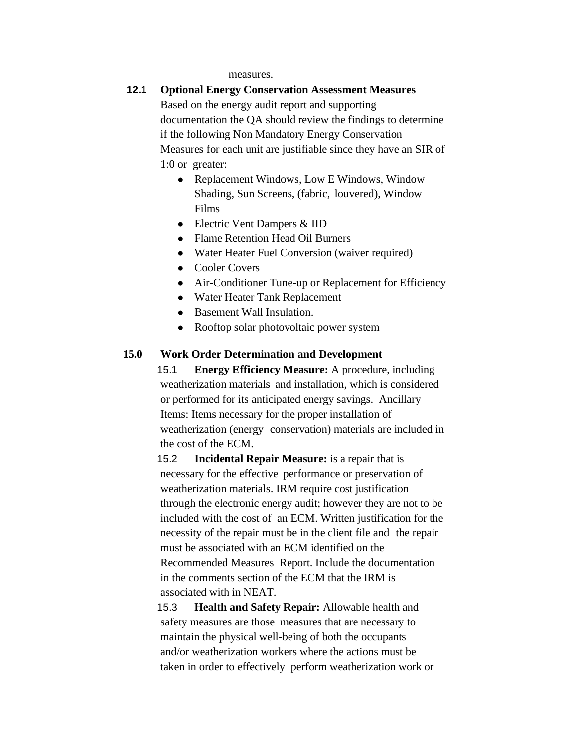measures.

### **12.1 Optional Energy Conservation Assessment Measures**

Based on the energy audit report and supporting documentation the QA should review the findings to determine if the following Non Mandatory Energy Conservation Measures for each unit are justifiable since they have an SIR of 1:0 or greater:

- Replacement Windows, Low E Windows, Window Shading, Sun Screens, (fabric, louvered), Window Films
- Electric Vent Dampers & IID
- Flame Retention Head Oil Burners
- Water Heater Fuel Conversion (waiver required)
- Cooler Covers
- Air-Conditioner Tune-up or Replacement for Efficiency
- Water Heater Tank Replacement
- Basement Wall Insulation.
- Rooftop solar photovoltaic power system

#### **15.0 Work Order Determination and Development**

15.1 **Energy Efficiency Measure:** A procedure, including weatherization materials and installation, which is considered or performed for its anticipated energy savings. Ancillary Items: Items necessary for the proper installation of weatherization (energy conservation) materials are included in the cost of the ECM.

15.2 **Incidental Repair Measure:** is a repair that is necessary for the effective performance or preservation of weatherization materials. IRM require cost justification through the electronic energy audit; however they are not to be included with the cost of an ECM. Written justification for the necessity of the repair must be in the client file and the repair must be associated with an ECM identified on the Recommended Measures Report. Include the documentation in the comments section of the ECM that the IRM is associated with in NEAT.

15.3 **Health and Safety Repair:** Allowable health and safety measures are those measures that are necessary to maintain the physical well-being of both the occupants and/or weatherization workers where the actions must be taken in order to effectively perform weatherization work or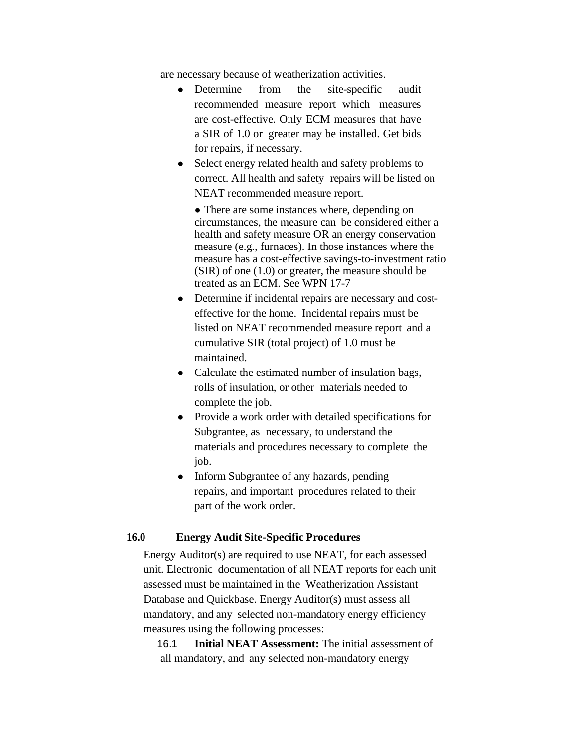are necessary because of weatherization activities.

- Determine from the site-specific audit recommended measure report which measures are cost-effective. Only ECM measures that have a SIR of 1.0 or greater may be installed. Get bids for repairs, if necessary.
- Select energy related health and safety problems to correct. All health and safety repairs will be listed on NEAT recommended measure report.

• There are some instances where, depending on circumstances, the measure can be considered either a health and safety measure OR an energy conservation measure (e.g., furnaces). In those instances where the measure has a cost-effective savings-to-investment ratio  $(SIR)$  of one  $(1.0)$  or greater, the measure should be treated as an ECM. See WPN 17-7

- Determine if incidental repairs are necessary and costeffective for the home. Incidental repairs must be listed on NEAT recommended measure report and a cumulative SIR (total project) of 1.0 must be maintained.
- Calculate the estimated number of insulation bags, rolls of insulation, or other materials needed to complete the job.
- Provide a work order with detailed specifications for Subgrantee, as necessary, to understand the materials and procedures necessary to complete the job.
- Inform Subgrantee of any hazards, pending repairs, and important procedures related to their part of the work order.

### **16.0 Energy Audit Site-Specific Procedures**

Energy Auditor(s) are required to use NEAT, for each assessed unit. Electronic documentation of all NEAT reports for each unit assessed must be maintained in the Weatherization Assistant Database and Quickbase. Energy Auditor(s) must assess all mandatory, and any selected non-mandatory energy efficiency measures using the following processes:

16.1 **Initial NEAT Assessment:** The initial assessment of all mandatory, and any selected non-mandatory energy